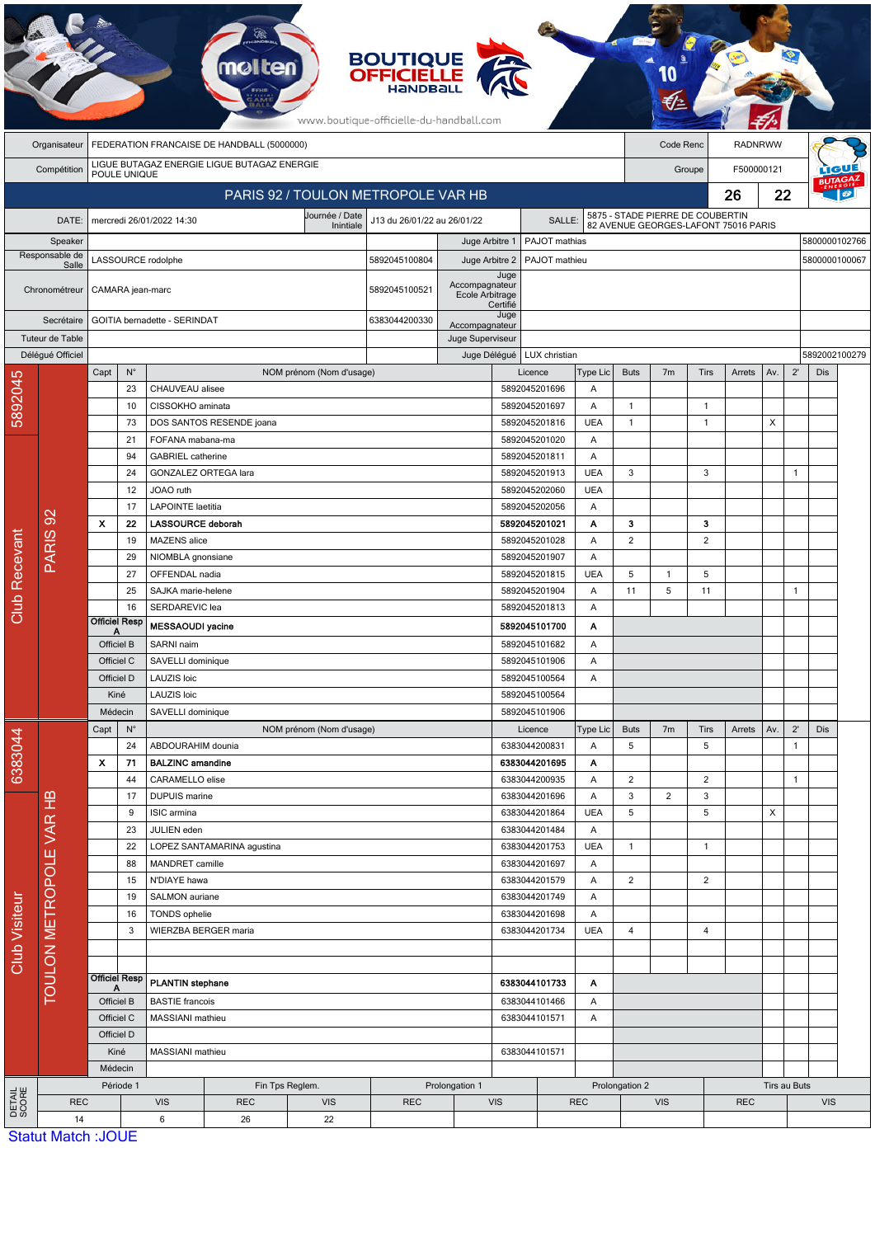|                                                                            | <b>BOUTIQUE<br/>OFFICIELLE</b><br><b>melten</b><br>www.boutique-officielle-du-handball.com |                                                         |                                                      |                                            |                          |                             |               |                                    |                                                                         |                                            |                 |                      |                |              |            |     |               |               |  |
|----------------------------------------------------------------------------|--------------------------------------------------------------------------------------------|---------------------------------------------------------|------------------------------------------------------|--------------------------------------------|--------------------------|-----------------------------|---------------|------------------------------------|-------------------------------------------------------------------------|--------------------------------------------|-----------------|----------------------|----------------|--------------|------------|-----|---------------|---------------|--|
|                                                                            | Organisateur                                                                               | FEDERATION FRANCAISE DE HANDBALL (5000000)<br>Code Renc |                                                      |                                            |                          |                             |               |                                    |                                                                         |                                            |                 | <b>RADNRWW</b>       |                |              |            |     |               |               |  |
|                                                                            | Compétition                                                                                | LIGUE BUTAGAZ ENERGIE LIGUE BUTAGAZ ENERGIE             |                                                      |                                            |                          |                             |               |                                    |                                                                         |                                            |                 | F500000121<br>Groupe |                |              |            |     |               |               |  |
|                                                                            | POULE UNIQUE<br>PARIS 92 / TOULON METROPOLE VAR HB                                         |                                                         |                                                      |                                            |                          |                             |               |                                    |                                                                         | 26                                         |                 |                      | 22             |              |            |     |               |               |  |
|                                                                            |                                                                                            |                                                         |                                                      |                                            |                          | Journée / Date              |               |                                    |                                                                         | 5875 - STADE PIERRE DE COUBERTIN<br>SALLE: |                 |                      |                |              |            |     |               |               |  |
| DATE:<br>Speaker<br>Responsable de<br>Salle<br>Chronométreur<br>Secrétaire |                                                                                            |                                                         |                                                      | mercredi 26/01/2022 14:30                  |                          | J13 du 26/01/22 au 26/01/22 |               |                                    | 82 AVENUE GEORGES-LAFONT 75016 PARIS<br>PAJOT mathias<br>5800000102766  |                                            |                 |                      |                |              |            |     |               |               |  |
|                                                                            |                                                                                            |                                                         |                                                      |                                            |                          |                             |               | Juge Arbitre 1<br>Juge Arbitre 2   |                                                                         |                                            |                 |                      |                |              |            |     | 5800000100067 |               |  |
|                                                                            |                                                                                            | LASSOURCE rodolphe                                      |                                                      |                                            |                          |                             | 5892045100804 |                                    | Juge                                                                    | PAJOT mathieu                              |                 |                      |                |              |            |     |               |               |  |
|                                                                            |                                                                                            | CAMARA jean-marc                                        |                                                      |                                            |                          |                             | 5892045100521 | Accompagnateur<br>Ecole Arbitrage  |                                                                         |                                            |                 |                      |                |              |            |     |               |               |  |
|                                                                            |                                                                                            |                                                         |                                                      |                                            |                          |                             |               |                                    | Certifié<br>Juge                                                        |                                            |                 |                      |                |              |            |     |               |               |  |
| Tuteur de Table                                                            |                                                                                            | GOITIA bernadette - SERINDAT                            |                                                      |                                            |                          |                             | 6383044200330 | Accompagnateur<br>Juge Superviseur |                                                                         |                                            |                 |                      |                |              |            |     |               |               |  |
|                                                                            | Délégué Officiel                                                                           |                                                         |                                                      |                                            |                          |                             |               |                                    | Juge Délégué                                                            | LUX christian                              |                 |                      |                |              |            |     |               | 5892002100279 |  |
|                                                                            |                                                                                            | Capt                                                    | $N^{\circ}$                                          |                                            |                          | NOM prénom (Nom d'usage)    |               |                                    |                                                                         | Licence                                    | Type Lic        | <b>Buts</b>          | 7 <sub>m</sub> | <b>Tirs</b>  | Arrets     | Av. | $2^{\prime}$  | Dis           |  |
| 5892045                                                                    |                                                                                            |                                                         | 23                                                   | CHAUVEAU alisee                            |                          |                             |               |                                    |                                                                         | 5892045201696                              | Α               |                      |                |              |            |     |               |               |  |
|                                                                            |                                                                                            |                                                         | 10                                                   | CISSOKHO aminata                           |                          |                             |               |                                    |                                                                         | 5892045201697                              | Α               | $\mathbf{1}$         |                | $\mathbf{1}$ |            |     |               |               |  |
|                                                                            |                                                                                            |                                                         | 73<br>21                                             | FOFANA mabana-ma                           | DOS SANTOS RESENDE joana |                             |               |                                    |                                                                         | 5892045201816<br>5892045201020             | <b>UEA</b><br>Α | $\mathbf{1}$         |                | $\mathbf{1}$ |            | X   |               |               |  |
|                                                                            |                                                                                            | 94<br>24<br>12                                          |                                                      | <b>GABRIEL</b> catherine                   |                          |                             |               |                                    |                                                                         | 5892045201811                              | A               |                      |                |              |            |     |               |               |  |
|                                                                            |                                                                                            |                                                         |                                                      | GONZALEZ ORTEGA lara                       |                          |                             |               |                                    |                                                                         | 5892045201913                              | <b>UEA</b>      | 3                    |                | 3            |            |     | 1             |               |  |
|                                                                            |                                                                                            |                                                         |                                                      | JOAO ruth                                  |                          |                             |               |                                    |                                                                         | 5892045202060                              | <b>UEA</b>      |                      |                |              |            |     |               |               |  |
|                                                                            |                                                                                            |                                                         | 17                                                   | <b>LAPOINTE laetitia</b>                   |                          |                             |               |                                    | 5892045202056                                                           |                                            | Α               |                      |                |              |            |     |               |               |  |
|                                                                            | $\infty$<br><b>PARIS</b>                                                                   | $\boldsymbol{\mathsf{x}}$                               | 22                                                   | <b>LASSOURCE deborah</b>                   |                          |                             |               |                                    |                                                                         | 5892045201021                              |                 | з                    |                | з            |            |     |               |               |  |
|                                                                            |                                                                                            |                                                         | 19                                                   | MAZENS alice                               |                          |                             |               |                                    | 5892045201028<br>Α<br>5892045201907<br>Α<br><b>UEA</b><br>5892045201815 |                                            | 2               |                      | $\overline{2}$ |              |            |     |               |               |  |
| Recevant                                                                   |                                                                                            |                                                         | 29<br>27                                             | NIOMBLA gnonsiane<br>OFFENDAL nadia        |                          |                             |               |                                    |                                                                         |                                            |                 | 5                    | $\mathbf{1}$   | 5            |            |     |               |               |  |
|                                                                            |                                                                                            |                                                         | 25                                                   | SAJKA marie-helene                         |                          |                             |               |                                    |                                                                         | 5892045201904                              | Α               | 11                   | 5              | 11           |            |     | 1             |               |  |
| Club <sub></sub>                                                           |                                                                                            |                                                         | 16                                                   | SERDAREVIC lea                             |                          |                             |               |                                    |                                                                         | 5892045201813                              | Α               |                      |                |              |            |     |               |               |  |
|                                                                            |                                                                                            | <b>Officiel Resp</b>                                    |                                                      |                                            | <b>MESSAOUDI</b> yacine  |                             |               |                                    | 5892045101700<br>Α                                                      |                                            |                 |                      |                |              |            |     |               |               |  |
|                                                                            |                                                                                            | Officiel B                                              |                                                      | SARNI naim                                 |                          |                             |               |                                    |                                                                         | 5892045101682<br>Α                         |                 |                      |                |              |            |     |               |               |  |
|                                                                            |                                                                                            | Officiel C                                              |                                                      | SAVELLI dominique                          |                          |                             |               |                                    |                                                                         | 5892045101906<br>$\overline{A}$            |                 |                      |                |              |            |     |               |               |  |
|                                                                            |                                                                                            | Officiel D<br>Kiné                                      |                                                      | LAUZIS loic<br>LAUZIS loic                 |                          |                             |               |                                    | 5892045100564<br>Α<br>5892045100564                                     |                                            |                 |                      |                |              |            |     |               |               |  |
|                                                                            |                                                                                            | Médecin                                                 |                                                      | SAVELLI dominique                          |                          |                             |               |                                    | 5892045101906                                                           |                                            |                 |                      |                |              |            |     |               |               |  |
|                                                                            |                                                                                            | Capt<br>$N^{\circ}$                                     |                                                      |                                            |                          | NOM prénom (Nom d'usage)    |               |                                    |                                                                         | Licence                                    | Type Lic        | <b>Buts</b>          | 7 <sub>m</sub> | Tirs         | Arrets     | Av. | $2^{\prime}$  | Dis           |  |
| 6383044                                                                    |                                                                                            |                                                         | 24                                                   | ABDOURAHIM dounia                          |                          |                             |               |                                    |                                                                         | 6383044200831                              | Α               | 5                    |                | 5            |            |     | 1             |               |  |
|                                                                            |                                                                                            | X                                                       | 71                                                   | <b>BALZINC amandine</b>                    |                          |                             |               |                                    |                                                                         | 6383044201695                              | Α               |                      |                |              |            |     |               |               |  |
|                                                                            |                                                                                            |                                                         | 44                                                   | CARAMELLO elise                            |                          |                             |               |                                    |                                                                         | 6383044200935                              | Α               | $\overline{2}$       |                | 2            |            |     | 1             |               |  |
| Club Visiteur                                                              |                                                                                            | 17<br>9<br>23<br>22                                     |                                                      | <b>DUPUIS</b> marine<br>ISIC armina        |                          |                             |               |                                    |                                                                         | 6383044201696<br>6383044201864             | Α<br><b>UEA</b> | 3<br>5               | $\overline{2}$ | 3<br>5       |            | X   |               |               |  |
|                                                                            | TOULON METROPOLE VAR HB                                                                    |                                                         |                                                      | JULIEN eden                                |                          |                             |               |                                    |                                                                         | 6383044201484                              | Α               |                      |                |              |            |     |               |               |  |
|                                                                            |                                                                                            |                                                         |                                                      | LOPEZ SANTAMARINA agustina                 |                          |                             |               |                                    |                                                                         | 6383044201753                              | <b>UEA</b>      | $\mathbf{1}$         |                | $\mathbf{1}$ |            |     |               |               |  |
|                                                                            |                                                                                            |                                                         | 88                                                   | MANDRET camille                            |                          |                             |               |                                    |                                                                         | 6383044201697                              | Α               |                      |                |              |            |     |               |               |  |
|                                                                            |                                                                                            |                                                         | N'DIAYE hawa<br>15                                   |                                            |                          |                             |               |                                    | 6383044201579<br>Α                                                      |                                            | $\overline{2}$  |                      | $\overline{c}$ |              |            |     |               |               |  |
|                                                                            |                                                                                            |                                                         | 19<br>16                                             | SALMON auriane                             |                          |                             |               |                                    |                                                                         | 6383044201749<br>6383044201698             | Α<br>Α          |                      |                |              |            |     |               |               |  |
|                                                                            |                                                                                            |                                                         | 3                                                    | TONDS ophelie<br>WIERZBA BERGER maria      |                          |                             |               | 6383044201734                      | <b>UEA</b>                                                              | 4                                          |                 | 4                    |                |              |            |     |               |               |  |
|                                                                            |                                                                                            |                                                         |                                                      |                                            |                          |                             |               |                                    |                                                                         |                                            |                 |                      |                |              |            |     |               |               |  |
|                                                                            |                                                                                            |                                                         |                                                      |                                            |                          |                             |               |                                    |                                                                         |                                            |                 |                      |                |              |            |     |               |               |  |
|                                                                            |                                                                                            |                                                         | <b>Officiel Resp</b><br><b>PLANTIN</b> stephane<br>А |                                            |                          |                             |               |                                    | 6383044101733<br>Α                                                      |                                            |                 |                      |                |              |            |     |               |               |  |
|                                                                            |                                                                                            |                                                         | Officiel B                                           | <b>BASTIE</b> francois<br>MASSIANI mathieu |                          |                             |               |                                    |                                                                         | 6383044101466                              |                 |                      |                |              |            |     |               |               |  |
|                                                                            |                                                                                            |                                                         | Officiel C                                           |                                            |                          |                             |               |                                    | 6383044101571                                                           |                                            | Α               |                      |                |              |            |     |               |               |  |
|                                                                            |                                                                                            | Officiel D<br>Kiné<br>Médecin                           |                                                      | MASSIANI mathieu                           |                          |                             |               |                                    |                                                                         | 6383044101571                              |                 |                      |                |              |            |     |               |               |  |
|                                                                            |                                                                                            |                                                         |                                                      |                                            |                          |                             |               |                                    |                                                                         |                                            |                 |                      |                |              |            |     |               |               |  |
|                                                                            |                                                                                            | Période 1                                               |                                                      |                                            | Fin Tps Reglem.          |                             |               | Prolongation 1                     |                                                                         |                                            |                 | Prolongation 2       |                |              |            |     | Tirs au Buts  |               |  |
| DETAIL<br>SCORE                                                            | <b>REC</b>                                                                                 |                                                         |                                                      | <b>VIS</b>                                 | <b>REC</b>               | <b>VIS</b>                  | <b>REC</b>    |                                    | <b>VIS</b>                                                              |                                            | <b>REC</b>      |                      | <b>VIS</b>     |              | <b>REC</b> |     |               | <b>VIS</b>    |  |
|                                                                            | 14                                                                                         | Statut Match · IOLIE                                    |                                                      | 6                                          | 26                       | 22                          |               |                                    |                                                                         |                                            |                 |                      |                |              |            |     |               |               |  |

**PARTIES** 

**Statut Match: JOUE**